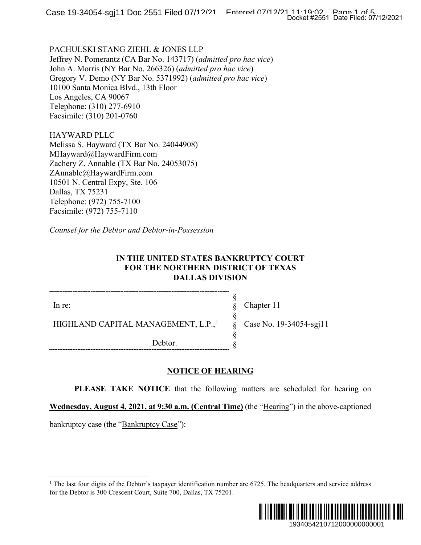PACHULSKI STANG ZIEHL & JONES LLP Jeffrey N. Pomerantz (CA Bar No. 143717) (*admitted pro hac vice*) John A. Morris (NY Bar No. 266326) (*admitted pro hac vice*) Gregory V. Demo (NY Bar No. 5371992) (*admitted pro hac vice*) 10100 Santa Monica Blvd., 13th Floor Los Angeles, CA 90067 Telephone: (310) 277-6910 Facsimile: (310) 201-0760

HAYWARD PLLC Melissa S. Hayward (TX Bar No. 24044908) MHayward@HaywardFirm.com Zachery Z. Annable (TX Bar No. 24053075) ZAnnable@HaywardFirm.com 10501 N. Central Expy, Ste. 106 Dallas, TX 75231 Telephone: (972) 755-7100 Facsimile: (972) 755-7110

*Counsel for the Debtor and Debtor-in-Possession*

## **IN THE UNITED STATES BANKRUPTCY COURT FOR THE NORTHERN DISTRICT OF TEXAS DALLAS DIVISION**

In re:

HIGHLAND CAPITAL MANAGEMENT, L.P.,<sup>[1](#page-0-0)</sup>

Debtor.

Chapter 11

§ § § § § §

Case No. 19-34054-sgj11

# **NOTICE OF HEARING**

**PLEASE TAKE NOTICE** that the following matters are scheduled for hearing on

**Wednesday, August 4, 2021, at 9:30 a.m. (Central Time)** (the "Hearing") in the above-captioned

<span id="page-0-0"></span>bankruptcy case (the "Bankruptcy Case"):

<sup>&</sup>lt;sup>1</sup> The last four digits of the Debtor's taxpayer identification number are  $6725$ . The headquarters and service address for the Debtor is 300 Crescent Court, Suite 700, Dallas, TX 75201.

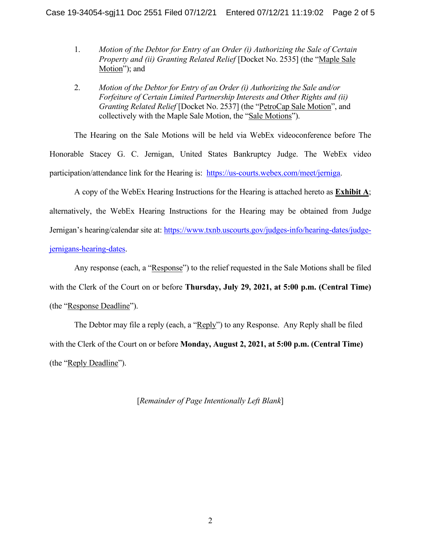- 1. *Motion of the Debtor for Entry of an Order (i) Authorizing the Sale of Certain Property and (ii) Granting Related Relief* [Docket No. 2535] (the "Maple Sale Motion"); and
- 2. *Motion of the Debtor for Entry of an Order (i) Authorizing the Sale and/or Forfeiture of Certain Limited Partnership Interests and Other Rights and (ii) Granting Related Relief* [Docket No. 2537] (the "PetroCap Sale Motion", and collectively with the Maple Sale Motion, the "Sale Motions").

The Hearing on the Sale Motions will be held via WebEx videoconference before The Honorable Stacey G. C. Jernigan, United States Bankruptcy Judge. The WebEx video participation/attendance link for the Hearing is: [https://us-courts.webex.com/meet/jerniga.](https://us-courts.webex.com/meet/jerniga)

A copy of the WebEx Hearing Instructions for the Hearing is attached hereto as **Exhibit A**; alternatively, the WebEx Hearing Instructions for the Hearing may be obtained from Judge Jernigan's hearing/calendar site at: [https://www.txnb.uscourts.gov/judges-info/hearing-dates/judge](https://www.txnb.uscourts.gov/judges-info/hearing-dates/judge-jernigans-hearing-dates)[jernigans-hearing-dates.](https://www.txnb.uscourts.gov/judges-info/hearing-dates/judge-jernigans-hearing-dates)

Any response (each, a "Response") to the relief requested in the Sale Motions shall be filed with the Clerk of the Court on or before **Thursday, July 29, 2021, at 5:00 p.m. (Central Time)** (the "Response Deadline").

The Debtor may file a reply (each, a "Reply") to any Response. Any Reply shall be filed with the Clerk of the Court on or before **Monday, August 2, 2021, at 5:00 p.m. (Central Time)** (the "Reply Deadline").

[*Remainder of Page Intentionally Left Blank*]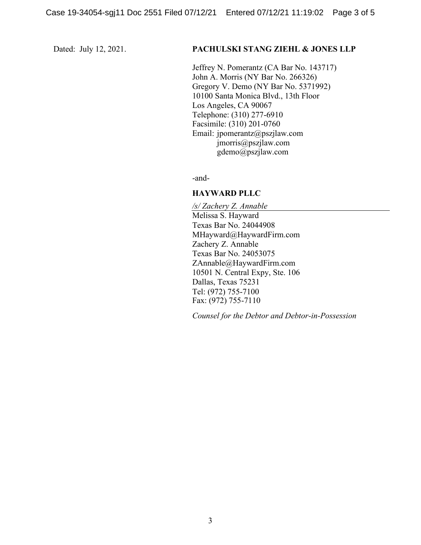#### Dated: July 12, 2021. **PACHULSKI STANG ZIEHL & JONES LLP**

Jeffrey N. Pomerantz (CA Bar No. 143717) John A. Morris (NY Bar No. 266326) Gregory V. Demo (NY Bar No. 5371992) 10100 Santa Monica Blvd., 13th Floor Los Angeles, CA 90067 Telephone: (310) 277-6910 Facsimile: (310) 201-0760 Email: jpomerantz@pszjlaw.com jmorris@pszjlaw.com gdemo@pszjlaw.com

-and-

### **HAYWARD PLLC**

*/s/ Zachery Z. Annable* Melissa S. Hayward Texas Bar No. 24044908 MHayward@HaywardFirm.com Zachery Z. Annable Texas Bar No. 24053075 ZAnnable@HaywardFirm.com 10501 N. Central Expy, Ste. 106 Dallas, Texas 75231 Tel: (972) 755-7100 Fax: (972) 755-7110

*Counsel for the Debtor and Debtor-in-Possession*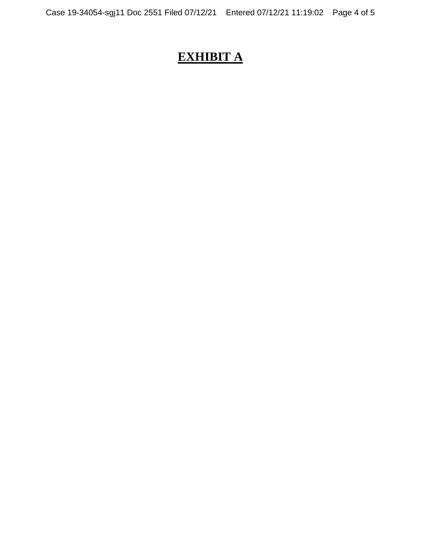# **EXHIBIT A**